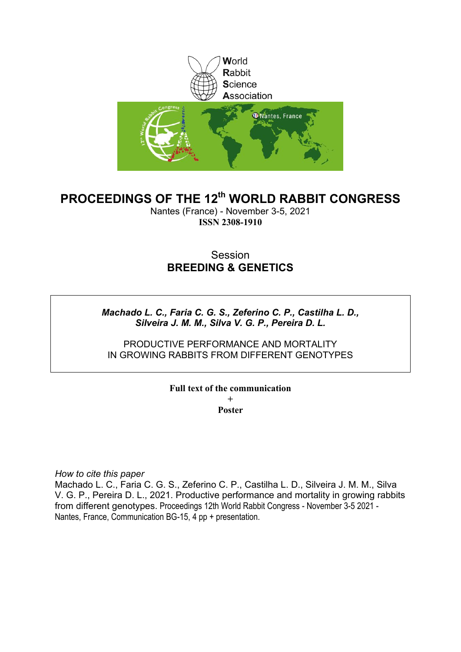

# **PROCEEDINGS OF THE 12th WORLD RABBIT CONGRESS**

Nantes (France) - November 3-5, 2021 **ISSN 2308-1910**

## Session **BREEDING & GENETICS**

## *Machado L. C., Faria C. G. S., Zeferino C. P., Castilha L. D., Silveira J. M. M., Silva V. G. P., Pereira D. L.*

## PRODUCTIVE PERFORMANCE AND MORTALITY IN GROWING RABBITS FROM DIFFERENT GENOTYPES

### **Full text of the communication + Poster**

*How to cite this paper*

Machado L. C., Faria C. G. S., Zeferino C. P., Castilha L. D., Silveira J. M. M., Silva V. G. P., Pereira D. L., 2021. Productive performance and mortality in growing rabbits from different genotypes. Proceedings 12th World Rabbit Congress - November 3-5 2021 - Nantes, France, Communication BG-15, 4 pp + presentation.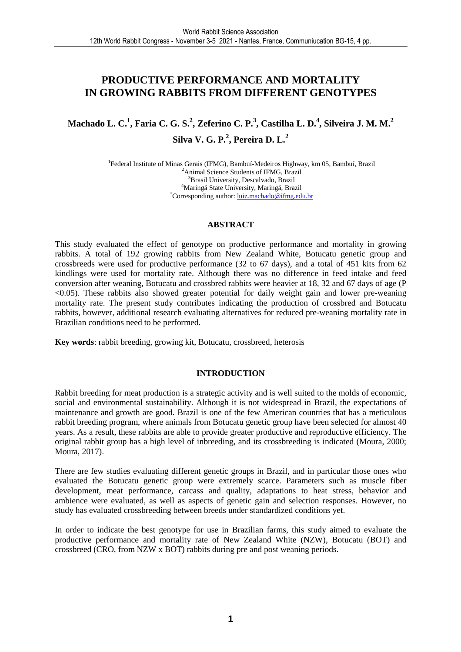## **PRODUCTIVE PERFORMANCE AND MORTALITY IN GROWING RABBITS FROM DIFFERENT GENOTYPES**

**Machado L. C.<sup>1</sup> , Faria C. G. S.<sup>2</sup> , Zeferino C. P.<sup>3</sup> , Castilha L. D.<sup>4</sup> , Silveira J. M. M.<sup>2</sup> Silva V. G. P.<sup>2</sup> , Pereira D. L.<sup>2</sup>**

> <sup>1</sup>Federal Institute of Minas Gerais (IFMG), Bambuí-Medeiros Highway, km 05, Bambuí, Brazil <sup>2</sup>Animal Science Students of IFMG, Brazil <sup>3</sup>Brasil University, Descalvado, Brazil <sup>4</sup>Maringá State University, Maringá, Brazil \*Corresponding author: luiz.machado@ifmg.edu.br

#### **ABSTRACT**

This study evaluated the effect of genotype on productive performance and mortality in growing rabbits. A total of 192 growing rabbits from New Zealand White, Botucatu genetic group and crossbreeds were used for productive performance (32 to 67 days), and a total of 451 kits from 62 kindlings were used for mortality rate. Although there was no difference in feed intake and feed conversion after weaning, Botucatu and crossbred rabbits were heavier at 18, 32 and 67 days of age (P <0.05). These rabbits also showed greater potential for daily weight gain and lower pre-weaning mortality rate. The present study contributes indicating the production of crossbred and Botucatu rabbits, however, additional research evaluating alternatives for reduced pre-weaning mortality rate in Brazilian conditions need to be performed.

**Key words**: rabbit breeding, growing kit, Botucatu, crossbreed, heterosis

### **INTRODUCTION**

Rabbit breeding for meat production is a strategic activity and is well suited to the molds of economic, social and environmental sustainability. Although it is not widespread in Brazil, the expectations of maintenance and growth are good. Brazil is one of the few American countries that has a meticulous rabbit breeding program, where animals from Botucatu genetic group have been selected for almost 40 years. As a result, these rabbits are able to provide greater productive and reproductive efficiency. The original rabbit group has a high level of inbreeding, and its crossbreeding is indicated (Moura, 2000; Moura, 2017).

There are few studies evaluating different genetic groups in Brazil, and in particular those ones who evaluated the Botucatu genetic group were extremely scarce. Parameters such as muscle fiber development, meat performance, carcass and quality, adaptations to heat stress, behavior and ambience were evaluated, as well as aspects of genetic gain and selection responses. However, no study has evaluated crossbreeding between breeds under standardized conditions yet.

In order to indicate the best genotype for use in Brazilian farms, this study aimed to evaluate the productive performance and mortality rate of New Zealand White (NZW), Botucatu (BOT) and crossbreed (CRO, from NZW x BOT) rabbits during pre and post weaning periods.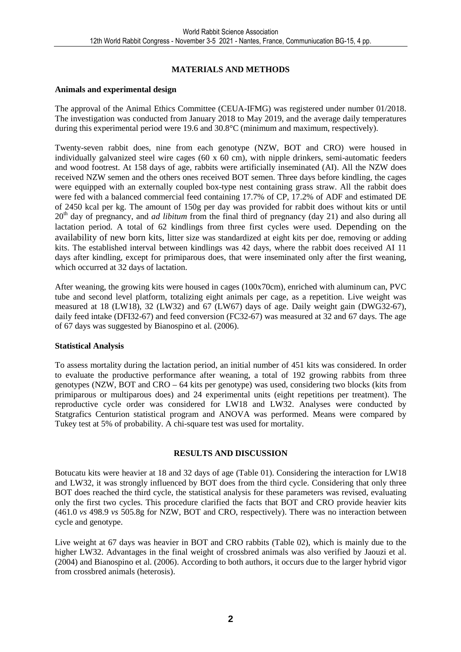## **MATERIALS AND METHODS**

#### **Animals and experimental design**

The approval of the Animal Ethics Committee (CEUA-IFMG) was registered under number 01/2018. The investigation was conducted from January 2018 to May 2019, and the average daily temperatures during this experimental period were 19.6 and 30.8°C (minimum and maximum, respectively).

Twenty-seven rabbit does, nine from each genotype (NZW, BOT and CRO) were housed in individually galvanized steel wire cages  $(60 \times 60 \text{ cm})$ , with nipple drinkers, semi-automatic feeders and wood footrest. At 158 days of age, rabbits were artificially inseminated (AI). All the NZW does received NZW semen and the others ones received BOT semen. Three days before kindling, the cages were equipped with an externally coupled box-type nest containing grass straw. All the rabbit does were fed with a balanced commercial feed containing 17.7% of CP, 17.2% of ADF and estimated DE of 2450 kcal per kg. The amount of 150g per day was provided for rabbit does without kits or until 20th day of pregnancy, and *ad libitum* from the final third of pregnancy (day 21) and also during all lactation period. A total of 62 kindlings from three first cycles were used. Depending on the availability of new born kits, litter size was standardized at eight kits per doe, removing or adding kits. The established interval between kindlings was 42 days, where the rabbit does received AI 11 days after kindling, except for primiparous does, that were inseminated only after the first weaning, which occurred at 32 days of lactation.

After weaning, the growing kits were housed in cages (100x70cm), enriched with aluminum can, PVC tube and second level platform, totalizing eight animals per cage, as a repetition. Live weight was measured at 18 (LW18), 32 (LW32) and 67 (LW67) days of age. Daily weight gain (DWG32-67), daily feed intake (DFI32-67) and feed conversion (FC32-67) was measured at 32 and 67 days. The age of 67 days was suggested by Bianospino et al. (2006).

#### **Statistical Analysis**

To assess mortality during the lactation period, an initial number of 451 kits was considered. In order to evaluate the productive performance after weaning, a total of 192 growing rabbits from three genotypes (NZW, BOT and CRO – 64 kits per genotype) was used, considering two blocks (kits from primiparous or multiparous does) and 24 experimental units (eight repetitions per treatment). The reproductive cycle order was considered for LW18 and LW32. Analyses were conducted by Statgrafics Centurion statistical program and ANOVA was performed. Means were compared by Tukey test at 5% of probability. A chi-square test was used for mortality.

#### **RESULTS AND DISCUSSION**

Botucatu kits were heavier at 18 and 32 days of age (Table 01). Considering the interaction for LW18 and LW32, it was strongly influenced by BOT does from the third cycle. Considering that only three BOT does reached the third cycle, the statistical analysis for these parameters was revised, evaluating only the first two cycles. This procedure clarified the facts that BOT and CRO provide heavier kits (461.0 *vs* 498.9 *vs* 505.8g for NZW, BOT and CRO, respectively). There was no interaction between cycle and genotype.

Live weight at 67 days was heavier in BOT and CRO rabbits (Table 02), which is mainly due to the higher LW32. Advantages in the final weight of crossbred animals was also verified by Jaouzi et al. (2004) and Bianospino et al. (2006). According to both authors, it occurs due to the larger hybrid vigor from crossbred animals (heterosis).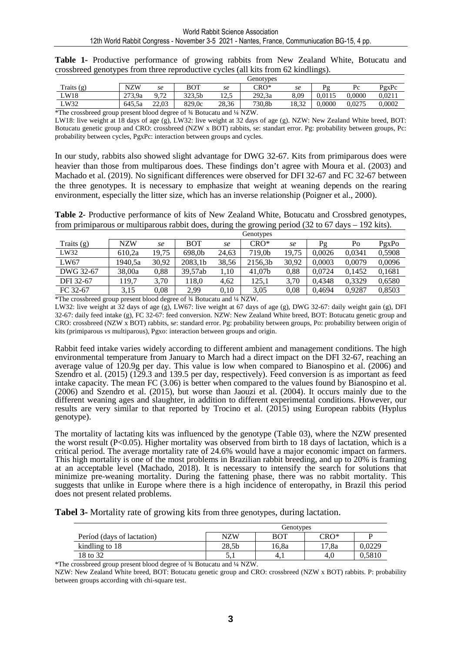|              | Genotypes  |         |            |              |        |       |        |        |        |
|--------------|------------|---------|------------|--------------|--------|-------|--------|--------|--------|
| Traits $(g)$ | <b>NZW</b> | se      | <b>BOT</b> | se           | CRO*   | se    | Þο     | Pc     | PgxPc  |
| ∟W18         | 273.9a     | 70<br>∼ | 323,5b     | 125<br>ن د ک | 292.3a | 8.09  | 0.0115 | 0.0000 | 0.0211 |
| LW32         | 645.5a     | 22.03   | 829.0c     | 28,36        | 730,8b | 18,32 | 0.0000 | 0.0275 | 0.0002 |

**Table 1-** Productive performance of growing rabbits from New Zealand White, Botucatu and crossbreed genotypes from three reproductive cycles (all kits from 62 kindlings).

\*The crossbreed group present blood degree of ¾ Botucatu and ¼ NZW.

LW18: live weight at 18 days of age (g), LW32: live weight at 32 days of age (g). NZW: New Zealand White breed, BOT: Botucatu genetic group and CRO: crossbreed (NZW x BOT) rabbits, se: standart error. Pg: probability between groups, Pc: probability between cycles, PgxPc: interaction between groups and cycles.

In our study, rabbits also showed slight advantage for DWG 32-67. Kits from primiparous does were heavier than those from multiparous does. These findings don't agree with Moura et al. (2003) and Machado et al. (2019). No significant differences were observed for DFI 32-67 and FC 32-67 between the three genotypes. It is necessary to emphasize that weight at weaning depends on the rearing environment, especially the litter size, which has an inverse relationship (Poigner et al., 2000).

**Table 2-** Productive performance of kits of New Zealand White, Botucatu and Crossbred genotypes, from primiparous or multiparous rabbit does, during the growing period  $(32 \text{ to } 67 \text{ days} - 192 \text{ kits})$ .

|              | Genotypes  |       |            |       |         |       |        |        |        |  |
|--------------|------------|-------|------------|-------|---------|-------|--------|--------|--------|--|
| Traits $(g)$ | <b>NZW</b> | se    | <b>BOT</b> | se    | CRO*    | se    | Pg     | Po     | PgxPo  |  |
| LW32         | 610.2a     | 19.75 | 698.0b     | 24.63 | 719.0b  | 19.75 | 0.0026 | 0.0341 | 0.5908 |  |
| LW67         | 1940.5a    | 30.92 | 2083.1b    | 38.56 | 2156,3b | 30,92 | 0.0003 | 0.0079 | 0.0096 |  |
| DWG 32-67    | 38,00a     | 0,88  | 39.57ab    | 1,10  | 41.07b  | 0.88  | 0.0724 | 0.1452 | 0,1681 |  |
| DFI 32-67    | 119,7      | 3.70  | 118.0      | 4.62  | 125.1   | 3.70  | 0.4348 | 0.3329 | 0.6580 |  |
| FC 32-67     | 3.15       | 0.08  | 2,99       | 0.10  | 3,05    | 0.08  | 0.4694 | 0.9287 | 0,8503 |  |

\*The crossbreed group present blood degree of ¾ Botucatu and ¼ NZW.

LW32: live weight at 32 days of age (g), LW67: live weight at 67 days of age (g), DWG 32-67: daily weight gain (g), DFI 32-67: daily feed intake (g), FC 32-67: feed conversion. NZW: New Zealand White breed, BOT: Botucatu genetic group and CRO: crossbreed (NZW x BOT) rabbits, s*e*: standard error. Pg: probability between groups, Po: probability between origin of kits (primiparous *vs* multiparous), Pgxo: interaction between groups and origin.

Rabbit feed intake varies widely according to different ambient and management conditions. The high environmental temperature from January to March had a direct impact on the DFI 32-67, reaching an average value of 120.9g per day. This value is low when compared to Bianospino et al. (2006) and Szendro et al. (2015) (129.3 and 139.5 per day, respectively). Feed conversion is as important as feed intake capacity. The mean FC (3.06) is better when compared to the values found by Bianospino et al. (2006) and Szendro et al. (2015), but worse than Jaouzi et al. (2004). It occurs mainly due to the different weaning ages and slaughter, in addition to different experimental conditions. However, our results are very similar to that reported by Trocino et al. (2015) using European rabbits (Hyplus genotype).

The mortality of lactating kits was influenced by the genotype (Table 03), where the NZW presented the worst result (P<0.05). Higher mortality was observed from birth to 18 days of lactation, which is a critical period. The average mortality rate of 24.6% would have a major economic impact on farmers. This high mortality is one of the most problems in Brazilian rabbit breeding, and up to 20% is framing at an acceptable level (Machado, 2018). It is necessary to intensify the search for solutions that minimize pre-weaning mortality. During the fattening phase, there was no rabbit mortality. This suggests that unlike in Europe where there is a high incidence of enteropathy, in Brazil this period does not present related problems.

**Tabel 3-** Mortality rate of growing kits from three genotypes, during lactation.

|                            | Genotypes |       |       |        |  |  |  |  |
|----------------------------|-----------|-------|-------|--------|--|--|--|--|
| Períod (days of lactation) | NZW       | BOT   | CRO*  |        |  |  |  |  |
| kindling to 18             | 28.5b     | 16.8a | 17.8a | 0.0229 |  |  |  |  |
| <sup>1</sup> 8 to 32       |           | 4.1   | 4.U   | 0.5810 |  |  |  |  |

\*The crossbreed group present blood degree of ¾ Botucatu and ¼ NZW.

NZW: New Zealand White breed, BOT: Botucatu genetic group and CRO: crossbreed (NZW x BOT) rabbits. P: probability between groups according with chi-square test.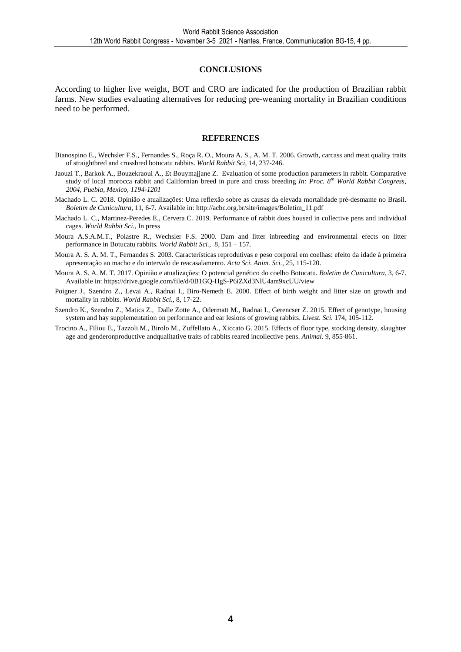#### **CONCLUSIONS**

According to higher live weight, BOT and CRO are indicated for the production of Brazilian rabbit farms. New studies evaluating alternatives for reducing pre-weaning mortality in Brazilian conditions need to be performed.

#### **REFERENCES**

- Bianospino E., Wechsler F.S., Fernandes S., Roça R. O., Moura A. S., A. M. T. 2006. Growth, carcass and meat quality traits of straightbred and crossbred botucatu rabbits. *World Rabbit Sci*, 14, 237-246.
- Jaouzi T., Barkok A., Bouzekraoui A., Et Bouymajjane Z. Evaluation of some production parameters in rabbit. Comparative study of local morocca rabbit and Californian breed in pure and cross breeding *In: Proc. 8th World Rabbit Congress, 2004, Puebla, Mexico, 1194-1201*
- Machado L. C. 2018. Opinião e atualizações: Uma reflexão sobre as causas da elevada mortalidade pré-desmame no Brasil. *Boletim de Cunicultura*, 11, 6-7. Available in: http://acbc.org.br/site/images/Boletim\_11.pdf
- Machado L. C., Martinez-Peredes E., Cervera C. 2019. Performance of rabbit does housed in collective pens and individual cages. *World Rabbit Sci.,* In press
- Moura A.S.A.M.T., Polastre R., Wechsler F.S. 2000. Dam and litter inbreeding and environmental efects on litter performance in Botucatu rabbits. *World Rabbit Sci.,* 8, 151 – 157.
- Moura A. S. A. M. T., Fernandes S. 2003. Características reprodutivas e peso corporal em coelhas: efeito da idade à primeira apresentação ao macho e do intervalo de reacasalamento. *Acta Sci. Anim. Sci.,* 25, 115-120.
- Moura A. S. A. M. T. 2017. Opinião e atualizações: O potencial genético do coelho Botucatu. *Boletim de Cunicultura*, 3, 6-7. Available in: https://drive.google.com/file/d/0B1GQ-HgS-P6iZXd3NlU4am9xcUU/view
- Poigner J., Szendro Z., Levai A., Radnai I., Biro-Nemeth E. 2000. Effect of birth weight and litter size on growth and mortality in rabbits. *World Rabbit Sci.,* 8, 17-22.
- Szendro K., Szendro Z., Matics Z., Dalle Zotte A., Odermatt M., Radnai I., Gerencser Z. 2015. Effect of genotype, housing system and hay supplementation on performance and ear lesions of growing rabbits. *Livest. Sci.* 174, 105-112.
- Trocino A., Filiou E., Tazzoli M., Birolo M., Zuffellato A., Xiccato G. 2015. Effects of floor type, stocking density, slaughter age and genderonproductive andqualitative traits of rabbits reared incollective pens. *Animal.* 9, 855-861.